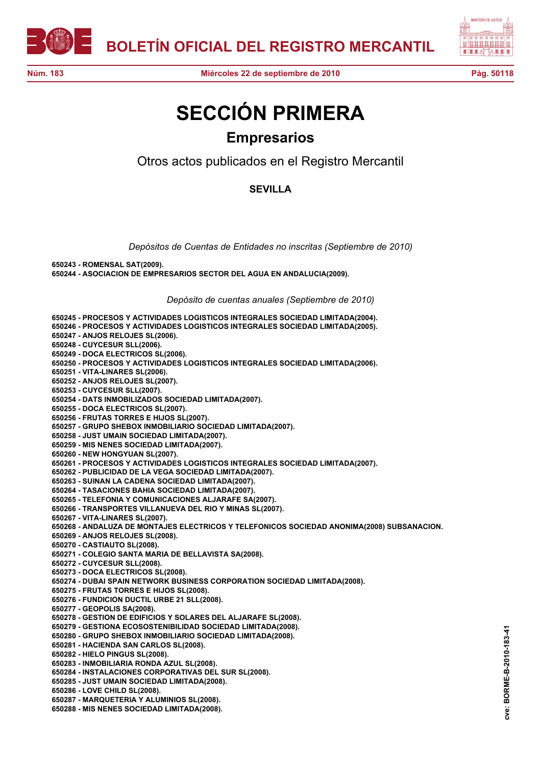



## **SECCIÓN PRIMERA Empresarios**

Otros actos publicados en el Registro Mercantil

## **SEVILLA**

*Depósitos de Cuentas de Entidades no inscritas (Septiembre de 2010)*

**650243 - ROMENSAL SAT(2009). 650244 - ASOCIACION DE EMPRESARIOS SECTOR DEL AGUA EN ANDALUCIA(2009).**

*Depósito de cuentas anuales (Septiembre de 2010)*

**650245 - PROCESOS Y ACTIVIDADES LOGISTICOS INTEGRALES SOCIEDAD LIMITADA(2004). 650246 - PROCESOS Y ACTIVIDADES LOGISTICOS INTEGRALES SOCIEDAD LIMITADA(2005). 650247 - ANJOS RELOJES SL(2006). 650248 - CUYCESUR SLL(2006). 650249 - DOCA ELECTRICOS SL(2006). 650250 - PROCESOS Y ACTIVIDADES LOGISTICOS INTEGRALES SOCIEDAD LIMITADA(2006). 650251 - VITA-LINARES SL(2006). 650252 - ANJOS RELOJES SL(2007). 650253 - CUYCESUR SLL(2007). 650254 - DATS INMOBILIZADOS SOCIEDAD LIMITADA(2007). 650255 - DOCA ELECTRICOS SL(2007). 650256 - FRUTAS TORRES E HIJOS SL(2007). 650257 - GRUPO SHEBOX INMOBILIARIO SOCIEDAD LIMITADA(2007). 650258 - JUST UMAIN SOCIEDAD LIMITADA(2007). 650259 - MIS NENES SOCIEDAD LIMITADA(2007). 650260 - NEW HONGYUAN SL(2007). 650261 - PROCESOS Y ACTIVIDADES LOGISTICOS INTEGRALES SOCIEDAD LIMITADA(2007). 650262 - PUBLICIDAD DE LA VEGA SOCIEDAD LIMITADA(2007). 650263 - SUINAN LA CADENA SOCIEDAD LIMITADA(2007). 650264 - TASACIONES BAHIA SOCIEDAD LIMITADA(2007). 650265 - TELEFONIA Y COMUNICACIONES ALJARAFE SA(2007). 650266 - TRANSPORTES VILLANUEVA DEL RIO Y MINAS SL(2007). 650267 - VITA-LINARES SL(2007). 650268 - ANDALUZA DE MONTAJES ELECTRICOS Y TELEFONICOS SOCIEDAD ANONIMA(2008) SUBSANACION. 650269 - ANJOS RELOJES SL(2008). 650270 - CASTIAUTO SL(2008). 650271 - COLEGIO SANTA MARIA DE BELLAVISTA SA(2008). 650272 - CUYCESUR SLL(2008). 650273 - DOCA ELECTRICOS SL(2008). 650274 - DUBAI SPAIN NETWORK BUSINESS CORPORATION SOCIEDAD LIMITADA(2008). 650275 - FRUTAS TORRES E HIJOS SL(2008). 650276 - FUNDICION DUCTIL URBE 21 SLL(2008). 650277 - GEOPOLIS SA(2008). 650278 - GESTION DE EDIFICIOS Y SOLARES DEL ALJARAFE SL(2008). 650279 - GESTIONA ECOSOSTENIBILIDAD SOCIEDAD LIMITADA(2008). 650280 - GRUPO SHEBOX INMOBILIARIO SOCIEDAD LIMITADA(2008). 650281 - HACIENDA SAN CARLOS SL(2008). 650282 - HIELO PINGUS SL(2008). 650283 - INMOBILIARIA RONDA AZUL SL(2008). 650284 - INSTALACIONES CORPORATIVAS DEL SUR SL(2008). 650285 - JUST UMAIN SOCIEDAD LIMITADA(2008). 650286 - LOVE CHILD SL(2008). 650287 - MARQUETERIA Y ALUMINIOS SL(2008). 650288 - MIS NENES SOCIEDAD LIMITADA(2008).**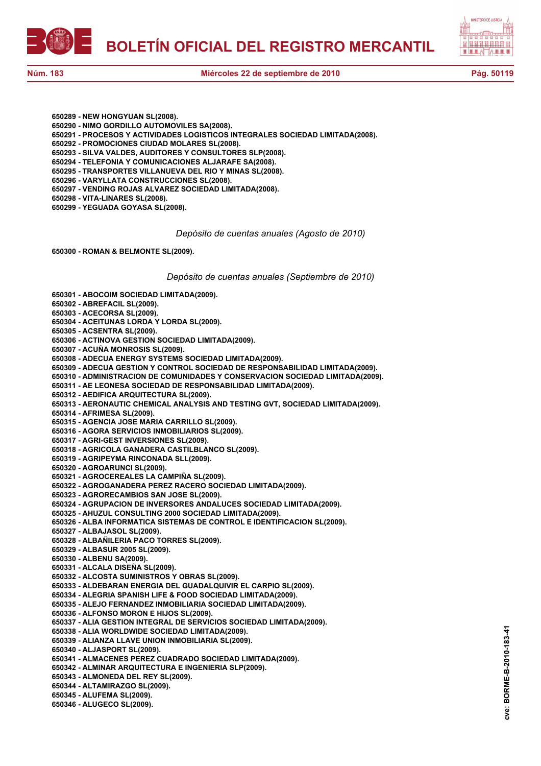**BOLETÍN OFICIAL DEL REGISTRO MERCANTIL**



**650289 - NEW HONGYUAN SL(2008).**

- **650290 NIMO GORDILLO AUTOMOVILES SA(2008).**
- **650291 PROCESOS Y ACTIVIDADES LOGISTICOS INTEGRALES SOCIEDAD LIMITADA(2008).**
- **650292 PROMOCIONES CIUDAD MOLARES SL(2008).**
- **650293 SILVA VALDES, AUDITORES Y CONSULTORES SLP(2008).**
- **650294 TELEFONIA Y COMUNICACIONES ALJARAFE SA(2008).**
- **650295 TRANSPORTES VILLANUEVA DEL RIO Y MINAS SL(2008).**
- **650296 VARYLLATA CONSTRUCCIONES SL(2008).**
- **650297 VENDING ROJAS ALVAREZ SOCIEDAD LIMITADA(2008).**
- **650298 VITA-LINARES SL(2008).**
- **650299 YEGUADA GOYASA SL(2008).**

*Depósito de cuentas anuales (Agosto de 2010)*

**650300 - ROMAN & BELMONTE SL(2009).**

## *Depósito de cuentas anuales (Septiembre de 2010)*

**650301 - ABOCOIM SOCIEDAD LIMITADA(2009).**

- **650302 ABREFACIL SL(2009).**
- **650303 ACECORSA SL(2009).**
- **650304 ACEITUNAS LORDA Y LORDA SL(2009).**
- **650305 ACSENTRA SL(2009).**
- **650306 ACTINOVA GESTION SOCIEDAD LIMITADA(2009).**
- **650307 ACUÑA MONROSIS SL(2009).**
- **650308 ADECUA ENERGY SYSTEMS SOCIEDAD LIMITADA(2009).**
- **650309 ADECUA GESTION Y CONTROL SOCIEDAD DE RESPONSABILIDAD LIMITADA(2009).**
- **650310 ADMINISTRACION DE COMUNIDADES Y CONSERVACION SOCIEDAD LIMITADA(2009).**
- **650311 AE LEONESA SOCIEDAD DE RESPONSABILIDAD LIMITADA(2009).**
- **650312 AEDIFICA ARQUITECTURA SL(2009).**
- **650313 AERONAUTIC CHEMICAL ANALYSIS AND TESTING GVT, SOCIEDAD LIMITADA(2009).**
- **650314 AFRIMESA SL(2009).**
- **650315 AGENCIA JOSE MARIA CARRILLO SL(2009).**
- **650316 AGORA SERVICIOS INMOBILIARIOS SL(2009).**
- **650317 AGRI-GEST INVERSIONES SL(2009).**
- **650318 AGRICOLA GANADERA CASTILBLANCO SL(2009).**
- **650319 AGRIPEYMA RINCONADA SLL(2009).**
- **650320 AGROARUNCI SL(2009).**
- **650321 AGROCEREALES LA CAMPIÑA SL(2009).**
- **650322 AGROGANADERA PEREZ RACERO SOCIEDAD LIMITADA(2009).**
- **650323 AGRORECAMBIOS SAN JOSE SL(2009).**
- **650324 AGRUPACION DE INVERSORES ANDALUCES SOCIEDAD LIMITADA(2009).**
- **650325 AHUZUL CONSULTING 2000 SOCIEDAD LIMITADA(2009).**
- **650326 ALBA INFORMATICA SISTEMAS DE CONTROL E IDENTIFICACION SL(2009).**
- **650327 ALBAJASOL SL(2009).**
- **650328 ALBAÑILERIA PACO TORRES SL(2009).**
- **650329 ALBASUR 2005 SL(2009).**
- **650330 ALBENU SA(2009).**
- **650331 ALCALA DISEÑA SL(2009).**
- **650332 ALCOSTA SUMINISTROS Y OBRAS SL(2009).**
- **650333 ALDEBARAN ENERGIA DEL GUADALQUIVIR EL CARPIO SL(2009).**
- **650334 ALEGRIA SPANISH LIFE & FOOD SOCIEDAD LIMITADA(2009).**
- **650335 ALEJO FERNANDEZ INMOBILIARIA SOCIEDAD LIMITADA(2009).**
- **650336 ALFONSO MORON E HIJOS SL(2009).**
- **650337 ALIA GESTION INTEGRAL DE SERVICIOS SOCIEDAD LIMITADA(2009).**
- **650338 ALIA WORLDWIDE SOCIEDAD LIMITADA(2009).**
- **650339 ALIANZA LLAVE UNION INMOBILIARIA SL(2009).**
- **650340 ALJASPORT SL(2009).**
- **650341 ALMACENES PEREZ CUADRADO SOCIEDAD LIMITADA(2009).**
- **650342 ALMINAR ARQUITECTURA E INGENIERIA SLP(2009).**
- **650343 ALMONEDA DEL REY SL(2009).**
- **650344 ALTAMIRAZGO SL(2009).**
- **650345 ALUFEMA SL(2009).**
- **650346 ALUGECO SL(2009).**

BORME-B-2010-183-41 **cve: BORME-B-2010-183-41** cve: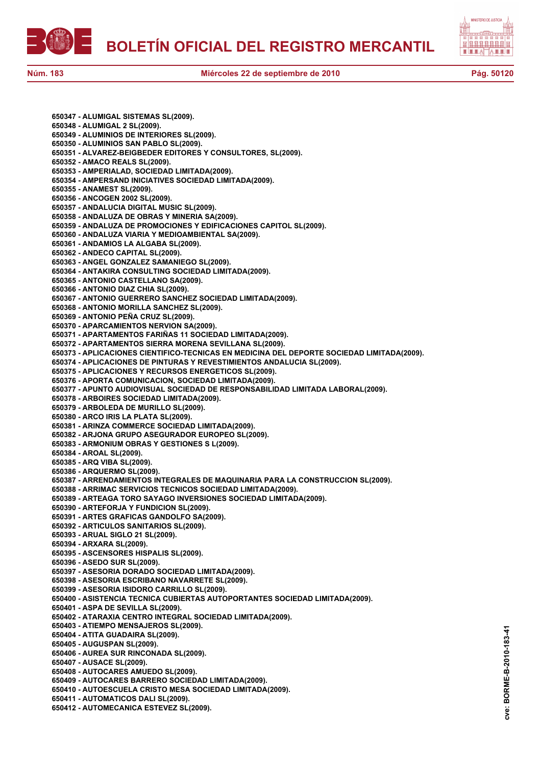



**650347 - ALUMIGAL SISTEMAS SL(2009). 650348 - ALUMIGAL 2 SL(2009). 650349 - ALUMINIOS DE INTERIORES SL(2009). 650350 - ALUMINIOS SAN PABLO SL(2009). 650351 - ALVAREZ-BEIGBEDER EDITORES Y CONSULTORES, SL(2009). 650352 - AMACO REALS SL(2009). 650353 - AMPERIALAD, SOCIEDAD LIMITADA(2009). 650354 - AMPERSAND INICIATIVES SOCIEDAD LIMITADA(2009). 650355 - ANAMEST SL(2009). 650356 - ANCOGEN 2002 SL(2009). 650357 - ANDALUCIA DIGITAL MUSIC SL(2009). 650358 - ANDALUZA DE OBRAS Y MINERIA SA(2009). 650359 - ANDALUZA DE PROMOCIONES Y EDIFICACIONES CAPITOL SL(2009). 650360 - ANDALUZA VIARIA Y MEDIOAMBIENTAL SA(2009). 650361 - ANDAMIOS LA ALGABA SL(2009). 650362 - ANDECO CAPITAL SL(2009). 650363 - ANGEL GONZALEZ SAMANIEGO SL(2009). 650364 - ANTAKIRA CONSULTING SOCIEDAD LIMITADA(2009). 650365 - ANTONIO CASTELLANO SA(2009). 650366 - ANTONIO DIAZ CHIA SL(2009). 650367 - ANTONIO GUERRERO SANCHEZ SOCIEDAD LIMITADA(2009). 650368 - ANTONIO MORILLA SANCHEZ SL(2009). 650369 - ANTONIO PEÑA CRUZ SL(2009). 650370 - APARCAMIENTOS NERVION SA(2009). 650371 - APARTAMENTOS FARIÑAS 11 SOCIEDAD LIMITADA(2009). 650372 - APARTAMENTOS SIERRA MORENA SEVILLANA SL(2009). 650373 - APLICACIONES CIENTIFICO-TECNICAS EN MEDICINA DEL DEPORTE SOCIEDAD LIMITADA(2009). 650374 - APLICACIONES DE PINTURAS Y REVESTIMIENTOS ANDALUCIA SL(2009). 650375 - APLICACIONES Y RECURSOS ENERGETICOS SL(2009). 650376 - APORTA COMUNICACION, SOCIEDAD LIMITADA(2009). 650377 - APUNTO AUDIOVISUAL SOCIEDAD DE RESPONSABILIDAD LIMITADA LABORAL(2009). 650378 - ARBOIRES SOCIEDAD LIMITADA(2009). 650379 - ARBOLEDA DE MURILLO SL(2009). 650380 - ARCO IRIS LA PLATA SL(2009). 650381 - ARINZA COMMERCE SOCIEDAD LIMITADA(2009). 650382 - ARJONA GRUPO ASEGURADOR EUROPEO SL(2009). 650383 - ARMONIUM OBRAS Y GESTIONES S L(2009). 650384 - AROAL SL(2009). 650385 - ARQ VIBA SL(2009). 650386 - ARQUERMO SL(2009). 650387 - ARRENDAMIENTOS INTEGRALES DE MAQUINARIA PARA LA CONSTRUCCION SL(2009). 650388 - ARRIMAC SERVICIOS TECNICOS SOCIEDAD LIMITADA(2009). 650389 - ARTEAGA TORO SAYAGO INVERSIONES SOCIEDAD LIMITADA(2009). 650390 - ARTEFORJA Y FUNDICION SL(2009). 650391 - ARTES GRAFICAS GANDOLFO SA(2009). 650392 - ARTICULOS SANITARIOS SL(2009). 650393 - ARUAL SIGLO 21 SL(2009). 650394 - ARXARA SL(2009). 650395 - ASCENSORES HISPALIS SL(2009). 650396 - ASEDO SUR SL(2009). 650397 - ASESORIA DORADO SOCIEDAD LIMITADA(2009). 650398 - ASESORIA ESCRIBANO NAVARRETE SL(2009). 650399 - ASESORIA ISIDORO CARRILLO SL(2009). 650400 - ASISTENCIA TECNICA CUBIERTAS AUTOPORTANTES SOCIEDAD LIMITADA(2009). 650401 - ASPA DE SEVILLA SL(2009). 650402 - ATARAXIA CENTRO INTEGRAL SOCIEDAD LIMITADA(2009). 650403 - ATIEMPO MENSAJEROS SL(2009). 650404 - ATITA GUADAIRA SL(2009). 650405 - AUGUSPAN SL(2009). 650406 - AUREA SUR RINCONADA SL(2009). 650407 - AUSACE SL(2009). 650408 - AUTOCARES AMUEDO SL(2009). 650409 - AUTOCARES BARRERO SOCIEDAD LIMITADA(2009). 650410 - AUTOESCUELA CRISTO MESA SOCIEDAD LIMITADA(2009). 650411 - AUTOMATICOS DALI SL(2009). 650412 - AUTOMECANICA ESTEVEZ SL(2009).**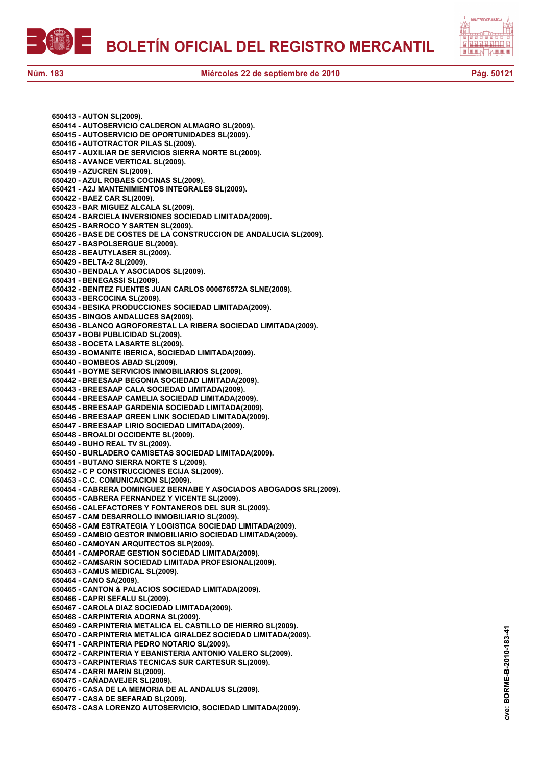



**650413 - AUTON SL(2009). 650414 - AUTOSERVICIO CALDERON ALMAGRO SL(2009). 650415 - AUTOSERVICIO DE OPORTUNIDADES SL(2009). 650416 - AUTOTRACTOR PILAS SL(2009). 650417 - AUXILIAR DE SERVICIOS SIERRA NORTE SL(2009). 650418 - AVANCE VERTICAL SL(2009). 650419 - AZUCREN SL(2009). 650420 - AZUL ROBAES COCINAS SL(2009). 650421 - A2J MANTENIMIENTOS INTEGRALES SL(2009). 650422 - BAEZ CAR SL(2009). 650423 - BAR MIGUEZ ALCALA SL(2009). 650424 - BARCIELA INVERSIONES SOCIEDAD LIMITADA(2009). 650425 - BARROCO Y SARTEN SL(2009). 650426 - BASE DE COSTES DE LA CONSTRUCCION DE ANDALUCIA SL(2009). 650427 - BASPOLSERGUE SL(2009). 650428 - BEAUTYLASER SL(2009). 650429 - BELTA-2 SL(2009). 650430 - BENDALA Y ASOCIADOS SL(2009). 650431 - BENEGASSI SL(2009). 650432 - BENITEZ FUENTES JUAN CARLOS 000676572A SLNE(2009). 650433 - BERCOCINA SL(2009). 650434 - BESIKA PRODUCCIONES SOCIEDAD LIMITADA(2009). 650435 - BINGOS ANDALUCES SA(2009). 650436 - BLANCO AGROFORESTAL LA RIBERA SOCIEDAD LIMITADA(2009). 650437 - BOBI PUBLICIDAD SL(2009). 650438 - BOCETA LASARTE SL(2009). 650439 - BOMANITE IBERICA, SOCIEDAD LIMITADA(2009). 650440 - BOMBEOS ABAD SL(2009). 650441 - BOYME SERVICIOS INMOBILIARIOS SL(2009). 650442 - BREESAAP BEGONIA SOCIEDAD LIMITADA(2009). 650443 - BREESAAP CALA SOCIEDAD LIMITADA(2009). 650444 - BREESAAP CAMELIA SOCIEDAD LIMITADA(2009). 650445 - BREESAAP GARDENIA SOCIEDAD LIMITADA(2009). 650446 - BREESAAP GREEN LINK SOCIEDAD LIMITADA(2009). 650447 - BREESAAP LIRIO SOCIEDAD LIMITADA(2009). 650448 - BROALDI OCCIDENTE SL(2009). 650449 - BUHO REAL TV SL(2009). 650450 - BURLADERO CAMISETAS SOCIEDAD LIMITADA(2009). 650451 - BUTANO SIERRA NORTE S L(2009). 650452 - C P CONSTRUCCIONES ECIJA SL(2009). 650453 - C.C. COMUNICACION SL(2009). 650454 - CABRERA DOMINGUEZ BERNABE Y ASOCIADOS ABOGADOS SRL(2009). 650455 - CABRERA FERNANDEZ Y VICENTE SL(2009). 650456 - CALEFACTORES Y FONTANEROS DEL SUR SL(2009). 650457 - CAM DESARROLLO INMOBILIARIO SL(2009). 650458 - CAM ESTRATEGIA Y LOGISTICA SOCIEDAD LIMITADA(2009). 650459 - CAMBIO GESTOR INMOBILIARIO SOCIEDAD LIMITADA(2009). 650460 - CAMOYAN ARQUITECTOS SLP(2009). 650461 - CAMPORAE GESTION SOCIEDAD LIMITADA(2009). 650462 - CAMSARIN SOCIEDAD LIMITADA PROFESIONAL(2009). 650463 - CAMUS MEDICAL SL(2009). 650464 - CANO SA(2009). 650465 - CANTON & PALACIOS SOCIEDAD LIMITADA(2009). 650466 - CAPRI SEFALU SL(2009). 650467 - CAROLA DIAZ SOCIEDAD LIMITADA(2009). 650468 - CARPINTERIA ADORNA SL(2009). 650469 - CARPINTERIA METALICA EL CASTILLO DE HIERRO SL(2009). 650470 - CARPINTERIA METALICA GIRALDEZ SOCIEDAD LIMITADA(2009). 650471 - CARPINTERIA PEDRO NOTARIO SL(2009). 650472 - CARPINTERIA Y EBANISTERIA ANTONIO VALERO SL(2009). 650473 - CARPINTERIAS TECNICAS SUR CARTESUR SL(2009). 650474 - CARRI MARIN SL(2009). 650475 - CAÑADAVEJER SL(2009). 650476 - CASA DE LA MEMORIA DE AL ANDALUS SL(2009). 650477 - CASA DE SEFARAD SL(2009). 650478 - CASA LORENZO AUTOSERVICIO, SOCIEDAD LIMITADA(2009).**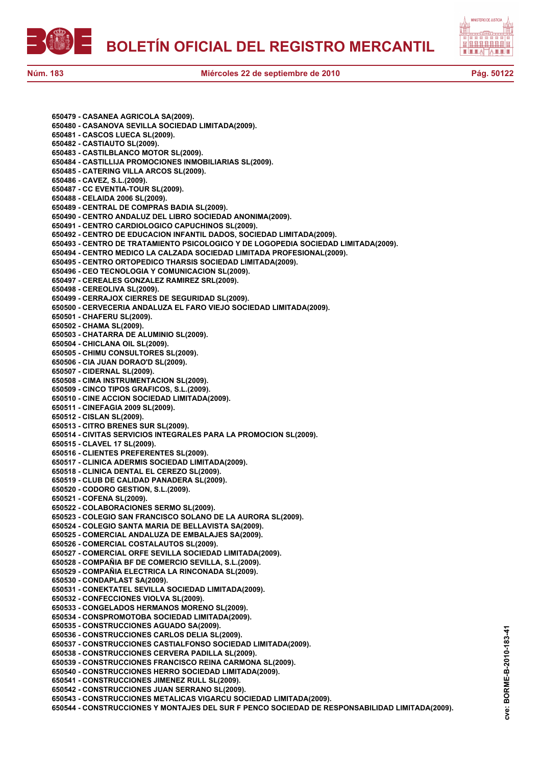



**650479 - CASANEA AGRICOLA SA(2009). 650480 - CASANOVA SEVILLA SOCIEDAD LIMITADA(2009). 650481 - CASCOS LUECA SL(2009). 650482 - CASTIAUTO SL(2009). 650483 - CASTILBLANCO MOTOR SL(2009). 650484 - CASTILLIJA PROMOCIONES INMOBILIARIAS SL(2009). 650485 - CATERING VILLA ARCOS SL(2009). 650486 - CAVEZ, S.L.(2009). 650487 - CC EVENTIA-TOUR SL(2009). 650488 - CELAIDA 2006 SL(2009). 650489 - CENTRAL DE COMPRAS BADIA SL(2009). 650490 - CENTRO ANDALUZ DEL LIBRO SOCIEDAD ANONIMA(2009). 650491 - CENTRO CARDIOLOGICO CAPUCHINOS SL(2009). 650492 - CENTRO DE EDUCACION INFANTIL DADOS, SOCIEDAD LIMITADA(2009). 650493 - CENTRO DE TRATAMIENTO PSICOLOGICO Y DE LOGOPEDIA SOCIEDAD LIMITADA(2009). 650494 - CENTRO MEDICO LA CALZADA SOCIEDAD LIMITADA PROFESIONAL(2009). 650495 - CENTRO ORTOPEDICO THARSIS SOCIEDAD LIMITADA(2009). 650496 - CEO TECNOLOGIA Y COMUNICACION SL(2009). 650497 - CEREALES GONZALEZ RAMIREZ SRL(2009). 650498 - CEREOLIVA SL(2009). 650499 - CERRAJOX CIERRES DE SEGURIDAD SL(2009). 650500 - CERVECERIA ANDALUZA EL FARO VIEJO SOCIEDAD LIMITADA(2009). 650501 - CHAFERU SL(2009). 650502 - CHAMA SL(2009). 650503 - CHATARRA DE ALUMINIO SL(2009). 650504 - CHICLANA OIL SL(2009). 650505 - CHIMU CONSULTORES SL(2009). 650506 - CIA JUAN DORAO'D SL(2009). 650507 - CIDERNAL SL(2009). 650508 - CIMA INSTRUMENTACION SL(2009). 650509 - CINCO TIPOS GRAFICOS, S.L.(2009). 650510 - CINE ACCION SOCIEDAD LIMITADA(2009). 650511 - CINEFAGIA 2009 SL(2009). 650512 - CISLAN SL(2009). 650513 - CITRO BRENES SUR SL(2009). 650514 - CIVITAS SERVICIOS INTEGRALES PARA LA PROMOCION SL(2009). 650515 - CLAVEL 17 SL(2009). 650516 - CLIENTES PREFERENTES SL(2009). 650517 - CLINICA ADERMIS SOCIEDAD LIMITADA(2009). 650518 - CLINICA DENTAL EL CEREZO SL(2009). 650519 - CLUB DE CALIDAD PANADERA SL(2009). 650520 - CODORO GESTION, S.L.(2009). 650521 - COFENA SL(2009). 650522 - COLABORACIONES SERMO SL(2009). 650523 - COLEGIO SAN FRANCISCO SOLANO DE LA AURORA SL(2009). 650524 - COLEGIO SANTA MARIA DE BELLAVISTA SA(2009). 650525 - COMERCIAL ANDALUZA DE EMBALAJES SA(2009). 650526 - COMERCIAL COSTALAUTOS SL(2009). 650527 - COMERCIAL ORFE SEVILLA SOCIEDAD LIMITADA(2009). 650528 - COMPAÑIA BF DE COMERCIO SEVILLA, S.L.(2009). 650529 - COMPAÑIA ELECTRICA LA RINCONADA SL(2009). 650530 - CONDAPLAST SA(2009). 650531 - CONEKTATEL SEVILLA SOCIEDAD LIMITADA(2009). 650532 - CONFECCIONES VIOLVA SL(2009). 650533 - CONGELADOS HERMANOS MORENO SL(2009). 650534 - CONSPROMOTOBA SOCIEDAD LIMITADA(2009). 650535 - CONSTRUCCIONES AGUADO SA(2009). 650536 - CONSTRUCCIONES CARLOS DELIA SL(2009). 650537 - CONSTRUCCIONES CASTIALFONSO SOCIEDAD LIMITADA(2009). 650538 - CONSTRUCCIONES CERVERA PADILLA SL(2009). 650539 - CONSTRUCCIONES FRANCISCO REINA CARMONA SL(2009). 650540 - CONSTRUCCIONES HERRO SOCIEDAD LIMITADA(2009). 650541 - CONSTRUCCIONES JIMENEZ RULL SL(2009). 650542 - CONSTRUCCIONES JUAN SERRANO SL(2009). 650543 - CONSTRUCCIONES METALICAS VIGARCU SOCIEDAD LIMITADA(2009). 650544 - CONSTRUCCIONES Y MONTAJES DEL SUR F PENCO SOCIEDAD DE RESPONSABILIDAD LIMITADA(2009).**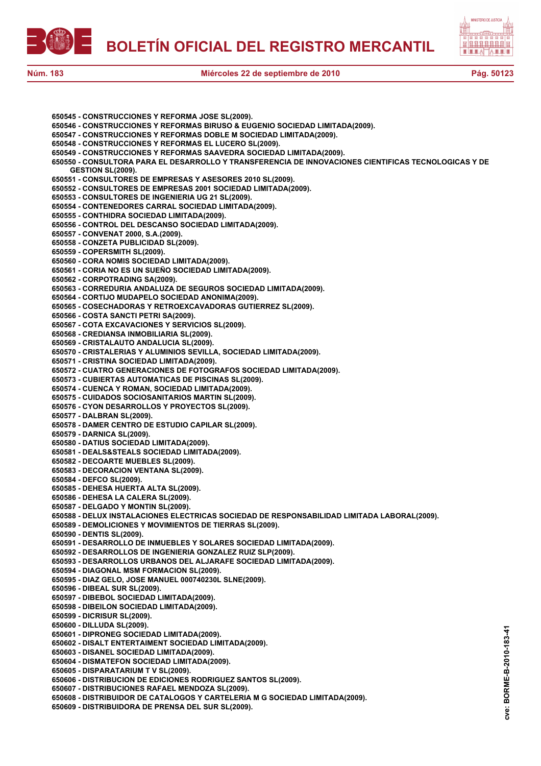



| 650545 - CONSTRUCCIONES Y REFORMA JOSE SL(2009).                                                                               |
|--------------------------------------------------------------------------------------------------------------------------------|
| 650546 - CONSTRUCCIONES Y REFORMAS BIRUSO & EUGENIO SOCIEDAD LIMITADA(2009).                                                   |
| 650547 - CONSTRUCCIONES Y REFORMAS DOBLE M SOCIEDAD LIMITADA(2009).                                                            |
| 650548 - CONSTRUCCIONES Y REFORMAS EL LUCERO SL(2009).<br>650549 - CONSTRUCCIONES Y REFORMAS SAAVEDRA SOCIEDAD LIMITADA(2009). |
| 650550 - CONSULTORA PARA EL DESARROLLO Y TRANSFERENCIA DE INNOVACIONES CIENTIFICAS TECNOLOGICAS Y DE                           |
| <b>GESTION SL(2009).</b>                                                                                                       |
| 650551 - CONSULTORES DE EMPRESAS Y ASESORES 2010 SL(2009).                                                                     |
| 650552 - CONSULTORES DE EMPRESAS 2001 SOCIEDAD LIMITADA(2009).                                                                 |
| 650553 - CONSULTORES DE INGENIERIA UG 21 SL(2009).                                                                             |
| 650554 - CONTENEDORES CARRAL SOCIEDAD LIMITADA(2009).                                                                          |
| 650555 - CONTHIDRA SOCIEDAD LIMITADA(2009).                                                                                    |
| 650556 - CONTROL DEL DESCANSO SOCIEDAD LIMITADA(2009).<br>650557 - CONVENAT 2000, S.A.(2009).                                  |
| 650558 - CONZETA PUBLICIDAD SL(2009).                                                                                          |
| 650559 - COPERSMITH SL(2009).                                                                                                  |
| 650560 - CORA NOMIS SOCIEDAD LIMITADA(2009).                                                                                   |
| 650561 - CORIA NO ES UN SUEÑO SOCIEDAD LIMITADA(2009).                                                                         |
| 650562 - CORPOTRADING SA(2009).                                                                                                |
| 650563 - CORREDURIA ANDALUZA DE SEGUROS SOCIEDAD LIMITADA(2009).                                                               |
| 650564 - CORTIJO MUDAPELO SOCIEDAD ANONIMA(2009).                                                                              |
| 650565 - COSECHADORAS Y RETROEXCAVADORAS GUTIERREZ SL(2009).<br>650566 - COSTA SANCTI PETRI SA(2009).                          |
| 650567 - COTA EXCAVACIONES Y SERVICIOS SL(2009).                                                                               |
| 650568 - CREDIANSA INMOBILIARIA SL(2009).                                                                                      |
| 650569 - CRISTALAUTO ANDALUCIA SL(2009).                                                                                       |
| 650570 - CRISTALERIAS Y ALUMINIOS SEVILLA, SOCIEDAD LIMITADA(2009).                                                            |
| 650571 - CRISTINA SOCIEDAD LIMITADA(2009).                                                                                     |
| 650572 - CUATRO GENERACIONES DE FOTOGRAFOS SOCIEDAD LIMITADA(2009).                                                            |
| 650573 - CUBIERTAS AUTOMATICAS DE PISCINAS SL(2009).                                                                           |
| 650574 - CUENCA Y ROMAN, SOCIEDAD LIMITADA(2009).<br>650575 - CUIDADOS SOCIOSANITARIOS MARTIN SL(2009).                        |
| 650576 - CYON DESARROLLOS Y PROYECTOS SL(2009).                                                                                |
| 650577 - DALBRAN SL(2009).                                                                                                     |
| 650578 - DAMER CENTRO DE ESTUDIO CAPILAR SL(2009).                                                                             |
| 650579 - DARNICA SL(2009).                                                                                                     |
| 650580 - DATIUS SOCIEDAD LIMITADA(2009).                                                                                       |
| 650581 - DEALS&STEALS SOCIEDAD LIMITADA(2009).                                                                                 |
| 650582 - DECOARTE MUEBLES SL(2009).                                                                                            |
| 650583 - DECORACION VENTANA SL(2009).                                                                                          |
| 650584 - DEFCO SL(2009).<br>650585 - DEHESA HUERTA ALTA SL(2009).                                                              |
| 650586 - DEHESA LA CALERA SL(2009).                                                                                            |
| 650587 - DELGADO Y MONTIN SL(2009).                                                                                            |
| 650588 - DELUX INSTALACIONES ELECTRICAS SOCIEDAD DE RESPONSABILIDAD LIMITADA LABORAL(2009).                                    |
| 650589 - DEMOLICIONES Y MOVIMIENTOS DE TIERRAS SL(2009).                                                                       |
| 650590 - DENTIS SL(2009).                                                                                                      |
| 650591 - DESARROLLO DE INMUEBLES Y SOLARES SOCIEDAD LIMITADA(2009).                                                            |
| 650592 - DESARROLLOS DE INGENIERIA GONZALEZ RUIZ SLP(2009).                                                                    |
| 650593 - DESARROLLOS URBANOS DEL ALJARAFE SOCIEDAD LIMITADA(2009).<br>650594 - DIAGONAL MSM FORMACION SL(2009).                |
| 650595 - DIAZ GELO, JOSE MANUEL 000740230L SLNE(2009).                                                                         |
| 650596 - DIBEAL SUR SL(2009).                                                                                                  |
| 650597 - DIBEBOL SOCIEDAD LIMITADA(2009).                                                                                      |
| 650598 - DIBEILON SOCIEDAD LIMITADA(2009).                                                                                     |
| 650599 - DICRISUR SL(2009).                                                                                                    |
| 650600 - DILLUDA SL(2009).                                                                                                     |
| 650601 - DIPRONEG SOCIEDAD LIMITADA(2009).                                                                                     |
| 650602 - DISALT ENTERTAIMENT SOCIEDAD LIMITADA(2009).                                                                          |
| 650603 - DISANEL SOCIEDAD LIMITADA(2009).<br>650604 - DISMATEFON SOCIEDAD LIMITADA(2009).                                      |
| 650605 - DISPARATARIUM T V SL(2009).                                                                                           |
| 650606 - DISTRIBUCION DE EDICIONES RODRIGUEZ SANTOS SL(2009).                                                                  |
| 650607 - DISTRIBUCIONES RAFAEL MENDOZA SL(2009).                                                                               |
| 650608 - DISTRIBUIDOR DE CATALOGOS Y CARTELERIA M G SOCIEDAD LIMITADA(2009).                                                   |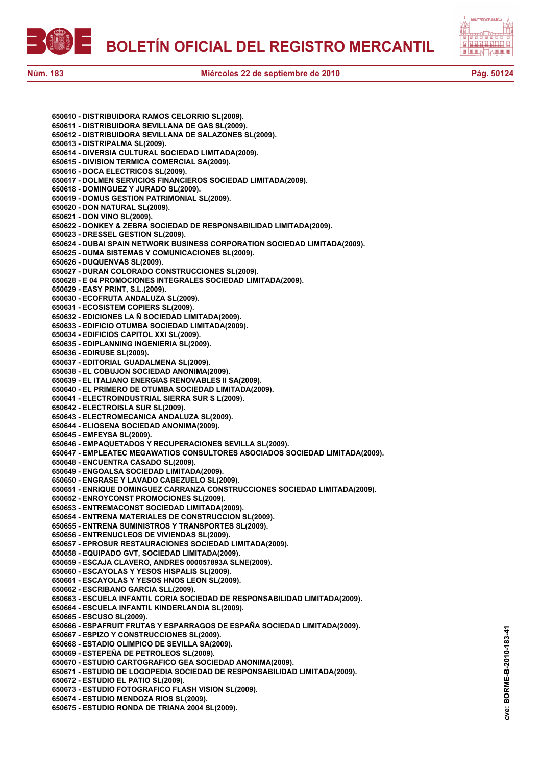



| 650610 - DISTRIBUIDORA RAMOS CELORRIO SL(2009).                                                                                          |  |
|------------------------------------------------------------------------------------------------------------------------------------------|--|
| 650611 - DISTRIBUIDORA SEVILLANA DE GAS SL(2009).                                                                                        |  |
| 650612 - DISTRIBUIDORA SEVILLANA DE SALAZONES SL(2009).                                                                                  |  |
| 650613 - DISTRIPALMA SL(2009).                                                                                                           |  |
| 650614 - DIVERSIA CULTURAL SOCIEDAD LIMITADA(2009).                                                                                      |  |
| 650615 - DIVISION TERMICA COMERCIAL SA(2009).                                                                                            |  |
| 650616 - DOCA ELECTRICOS SL(2009).                                                                                                       |  |
| 650617 - DOLMEN SERVICIOS FINANCIEROS SOCIEDAD LIMITADA(2009).                                                                           |  |
| 650618 - DOMINGUEZ Y JURADO SL(2009).<br>650619 - DOMUS GESTION PATRIMONIAL SL(2009).                                                    |  |
| 650620 - DON NATURAL SL(2009).                                                                                                           |  |
| 650621 - DON VINO SL(2009).                                                                                                              |  |
| 650622 - DONKEY & ZEBRA SOCIEDAD DE RESPONSABILIDAD LIMITADA(2009).                                                                      |  |
| 650623 - DRESSEL GESTION SL(2009).                                                                                                       |  |
| 650624 - DUBAI SPAIN NETWORK BUSINESS CORPORATION SOCIEDAD LIMITADA(2009).                                                               |  |
| 650625 - DUMA SISTEMAS Y COMUNICACIONES SL(2009).                                                                                        |  |
| 650626 - DUQUENVAS SL(2009).                                                                                                             |  |
| 650627 - DURAN COLORADO CONSTRUCCIONES SL(2009).                                                                                         |  |
| 650628 - E 04 PROMOCIONES INTEGRALES SOCIEDAD LIMITADA(2009).                                                                            |  |
| 650629 - EASY PRINT, S.L.(2009).                                                                                                         |  |
| 650630 - ECOFRUTA ANDALUZA SL(2009).                                                                                                     |  |
| 650631 - ECOSISTEM COPIERS SL(2009).                                                                                                     |  |
| 650632 - EDICIONES LA Ñ SOCIEDAD LIMITADA(2009).<br>650633 - EDIFICIO OTUMBA SOCIEDAD LIMITADA(2009).                                    |  |
| 650634 - EDIFICIOS CAPITOL XXI SL(2009).                                                                                                 |  |
| 650635 - EDIPLANNING INGENIERIA SL(2009).                                                                                                |  |
| 650636 - EDIRUSE SL(2009).                                                                                                               |  |
| 650637 - EDITORIAL GUADALMENA SL(2009).                                                                                                  |  |
| 650638 - EL COBUJON SOCIEDAD ANONIMA(2009).                                                                                              |  |
| 650639 - EL ITALIANO ENERGIAS RENOVABLES II SA(2009).                                                                                    |  |
| 650640 - EL PRIMERO DE OTUMBA SOCIEDAD LIMITADA(2009).                                                                                   |  |
| 650641 - ELECTROINDUSTRIAL SIERRA SUR S L(2009).                                                                                         |  |
| 650642 - ELECTROISLA SUR SL(2009).                                                                                                       |  |
| 650643 - ELECTROMECANICA ANDALUZA SL(2009).                                                                                              |  |
| 650644 - ELIOSENA SOCIEDAD ANONIMA(2009).                                                                                                |  |
| 650645 - EMFEYSA SL(2009).                                                                                                               |  |
| 650646 - EMPAQUETADOS Y RECUPERACIONES SEVILLA SL(2009).<br>650647 - EMPLEATEC MEGAWATIOS CONSULTORES ASOCIADOS SOCIEDAD LIMITADA(2009). |  |
| 650648 - ENCUENTRA CASADO SL(2009).                                                                                                      |  |
| 650649 - ENGOALSA SOCIEDAD LIMITADA(2009).                                                                                               |  |
| 650650 - ENGRASE Y LAVADO CABEZUELO SL(2009).                                                                                            |  |
| 650651 - ENRIQUE DOMINGUEZ CARRANZA CONSTRUCCIONES SOCIEDAD LIMITADA(2009).                                                              |  |
| 650652 - ENROYCONST PROMOCIONES SL(2009).                                                                                                |  |
| 650653 - ENTREMACONST SOCIEDAD LIMITADA(2009).                                                                                           |  |
| 650654 - ENTRENA MATERIALES DE CONSTRUCCION SL(2009).                                                                                    |  |
| 650655 - ENTRENA SUMINISTROS Y TRANSPORTES SL(2009).                                                                                     |  |
| 650656 - ENTRENUCLEOS DE VIVIENDAS SL(2009).                                                                                             |  |
| 650657 - EPROSUR RESTAURACIONES SOCIEDAD LIMITADA(2009).                                                                                 |  |
| 650658 - EQUIPADO GVT, SOCIEDAD LIMITADA(2009).<br>650659 - ESCAJA CLAVERO, ANDRES 000057893A SLNE(2009).                                |  |
| 650660 - ESCAYOLAS Y YESOS HISPALIS SL(2009).                                                                                            |  |
| 650661 - ESCAYOLAS Y YESOS HNOS LEON SL(2009).                                                                                           |  |
| 650662 - ESCRIBANO GARCIA SLL(2009).                                                                                                     |  |
| 650663 - ESCUELA INFANTIL CORIA SOCIEDAD DE RESPONSABILIDAD LIMITADA(2009).                                                              |  |
| 650664 - ESCUELA INFANTIL KINDERLANDIA SL(2009).                                                                                         |  |
|                                                                                                                                          |  |
| 650665 - ESCUSO SL(2009).                                                                                                                |  |
| 650666 - ESPAFRUIT FRUTAS Y ESPARRAGOS DE ESPAÑA SOCIEDAD LIMITADA(2009).                                                                |  |
| 650667 - ESPIZO Y CONSTRUCCIONES SL(2009).                                                                                               |  |
| 650668 - ESTADIO OLIMPICO DE SEVILLA SA(2009).                                                                                           |  |
| 650669 - ESTEPEÑA DE PETROLEOS SL(2009).                                                                                                 |  |
| 650670 - ESTUDIO CARTOGRAFICO GEA SOCIEDAD ANONIMA(2009).                                                                                |  |
| 650671 - ESTUDIO DE LOGOPEDIA SOCIEDAD DE RESPONSABILIDAD LIMITADA(2009).                                                                |  |
| 650672 - ESTUDIO EL PATIO SL(2009).                                                                                                      |  |
| 650673 - ESTUDIO FOTOGRAFICO FLASH VISION SL(2009).                                                                                      |  |
| 650674 - ESTUDIO MENDOZA RIOS SL(2009).<br>650675 - ESTUDIO RONDA DE TRIANA 2004 SL(2009).                                               |  |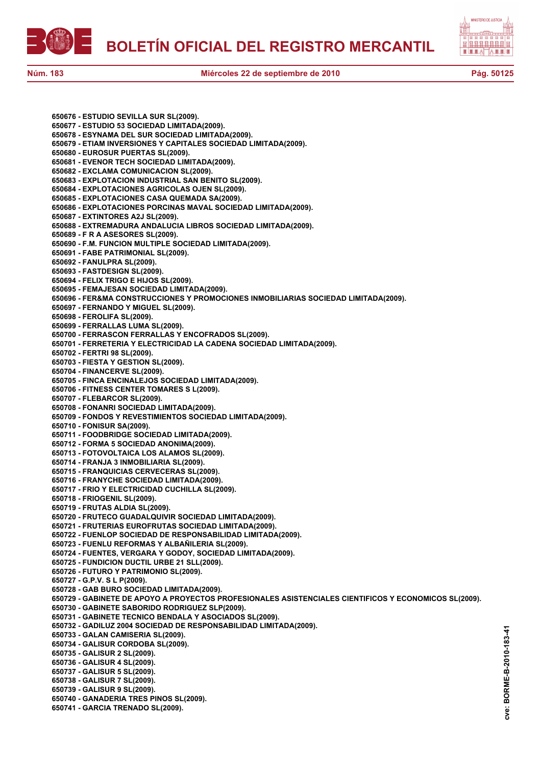



**650676 - ESTUDIO SEVILLA SUR SL(2009). 650677 - ESTUDIO 53 SOCIEDAD LIMITADA(2009). 650678 - ESYNAMA DEL SUR SOCIEDAD LIMITADA(2009). 650679 - ETIAM INVERSIONES Y CAPITALES SOCIEDAD LIMITADA(2009). 650680 - EUROSUR PUERTAS SL(2009). 650681 - EVENOR TECH SOCIEDAD LIMITADA(2009). 650682 - EXCLAMA COMUNICACION SL(2009). 650683 - EXPLOTACION INDUSTRIAL SAN BENITO SL(2009). 650684 - EXPLOTACIONES AGRICOLAS OJEN SL(2009). 650685 - EXPLOTACIONES CASA QUEMADA SA(2009). 650686 - EXPLOTACIONES PORCINAS MAVAL SOCIEDAD LIMITADA(2009). 650687 - EXTINTORES A2J SL(2009). 650688 - EXTREMADURA ANDALUCIA LIBROS SOCIEDAD LIMITADA(2009). 650689 - F R A ASESORES SL(2009). 650690 - F.M. FUNCION MULTIPLE SOCIEDAD LIMITADA(2009). 650691 - FABE PATRIMONIAL SL(2009). 650692 - FANULPRA SL(2009). 650693 - FASTDESIGN SL(2009). 650694 - FELIX TRIGO E HIJOS SL(2009). 650695 - FEMAJESAN SOCIEDAD LIMITADA(2009). 650696 - FER&MA CONSTRUCCIONES Y PROMOCIONES INMOBILIARIAS SOCIEDAD LIMITADA(2009). 650697 - FERNANDO Y MIGUEL SL(2009). 650698 - FEROLIFA SL(2009). 650699 - FERRALLAS LUMA SL(2009). 650700 - FERRASCON FERRALLAS Y ENCOFRADOS SL(2009). 650701 - FERRETERIA Y ELECTRICIDAD LA CADENA SOCIEDAD LIMITADA(2009). 650702 - FERTRI 98 SL(2009). 650703 - FIESTA Y GESTION SL(2009). 650704 - FINANCERVE SL(2009). 650705 - FINCA ENCINALEJOS SOCIEDAD LIMITADA(2009). 650706 - FITNESS CENTER TOMARES S L(2009). 650707 - FLEBARCOR SL(2009). 650708 - FONANRI SOCIEDAD LIMITADA(2009). 650709 - FONDOS Y REVESTIMIENTOS SOCIEDAD LIMITADA(2009). 650710 - FONISUR SA(2009). 650711 - FOODBRIDGE SOCIEDAD LIMITADA(2009). 650712 - FORMA 5 SOCIEDAD ANONIMA(2009). 650713 - FOTOVOLTAICA LOS ALAMOS SL(2009). 650714 - FRANJA 3 INMOBILIARIA SL(2009). 650715 - FRANQUICIAS CERVECERAS SL(2009). 650716 - FRANYCHE SOCIEDAD LIMITADA(2009). 650717 - FRIO Y ELECTRICIDAD CUCHILLA SL(2009). 650718 - FRIOGENIL SL(2009). 650719 - FRUTAS ALDIA SL(2009). 650720 - FRUTECO GUADALQUIVIR SOCIEDAD LIMITADA(2009). 650721 - FRUTERIAS EUROFRUTAS SOCIEDAD LIMITADA(2009). 650722 - FUENLOP SOCIEDAD DE RESPONSABILIDAD LIMITADA(2009). 650723 - FUENLU REFORMAS Y ALBAÑILERIA SL(2009). 650724 - FUENTES, VERGARA Y GODOY, SOCIEDAD LIMITADA(2009). 650725 - FUNDICION DUCTIL URBE 21 SLL(2009). 650726 - FUTURO Y PATRIMONIO SL(2009). 650727 - G.P.V. S L P(2009). 650728 - GAB BURO SOCIEDAD LIMITADA(2009). 650729 - GABINETE DE APOYO A PROYECTOS PROFESIONALES ASISTENCIALES CIENTIFICOS Y ECONOMICOS SL(2009). 650730 - GABINETE SABORIDO RODRIGUEZ SLP(2009). 650731 - GABINETE TECNICO BENDALA Y ASOCIADOS SL(2009). 650732 - GADILUZ 2004 SOCIEDAD DE RESPONSABILIDAD LIMITADA(2009). 650733 - GALAN CAMISERIA SL(2009). 650734 - GALISUR CORDOBA SL(2009). 650735 - GALISUR 2 SL(2009). 650736 - GALISUR 4 SL(2009). 650737 - GALISUR 5 SL(2009). 650738 - GALISUR 7 SL(2009). 650739 - GALISUR 9 SL(2009). 650740 - GANADERIA TRES PINOS SL(2009). 650741 - GARCIA TRENADO SL(2009).**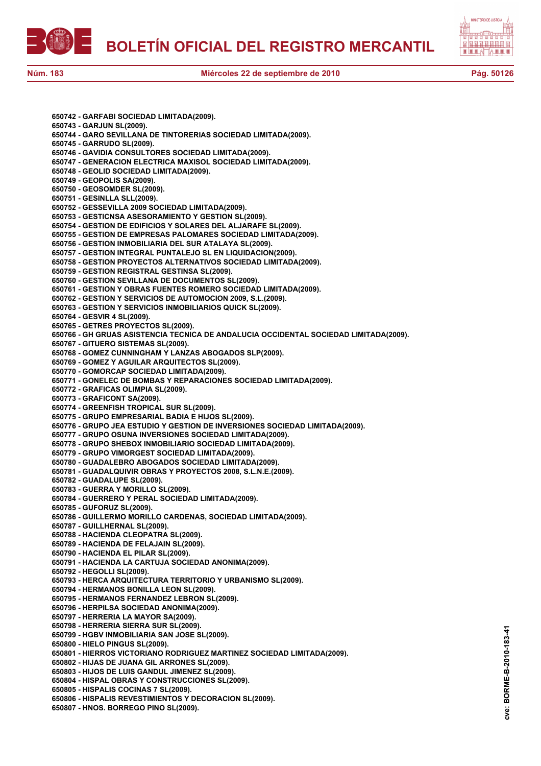



**cve: BORME-B-2010-183-41**

cve:

BORME-B-2010-183-41

**650742 - GARFABI SOCIEDAD LIMITADA(2009). 650743 - GARJUN SL(2009). 650744 - GARO SEVILLANA DE TINTORERIAS SOCIEDAD LIMITADA(2009). 650745 - GARRUDO SL(2009). 650746 - GAVIDIA CONSULTORES SOCIEDAD LIMITADA(2009). 650747 - GENERACION ELECTRICA MAXISOL SOCIEDAD LIMITADA(2009). 650748 - GEOLID SOCIEDAD LIMITADA(2009). 650749 - GEOPOLIS SA(2009). 650750 - GEOSOMDER SL(2009). 650751 - GESINLLA SLL(2009). 650752 - GESSEVILLA 2009 SOCIEDAD LIMITADA(2009). 650753 - GESTICNSA ASESORAMIENTO Y GESTION SL(2009). 650754 - GESTION DE EDIFICIOS Y SOLARES DEL ALJARAFE SL(2009). 650755 - GESTION DE EMPRESAS PALOMARES SOCIEDAD LIMITADA(2009). 650756 - GESTION INMOBILIARIA DEL SUR ATALAYA SL(2009). 650757 - GESTION INTEGRAL PUNTALEJO SL EN LIQUIDACION(2009). 650758 - GESTION PROYECTOS ALTERNATIVOS SOCIEDAD LIMITADA(2009). 650759 - GESTION REGISTRAL GESTINSA SL(2009). 650760 - GESTION SEVILLANA DE DOCUMENTOS SL(2009). 650761 - GESTION Y OBRAS FUENTES ROMERO SOCIEDAD LIMITADA(2009). 650762 - GESTION Y SERVICIOS DE AUTOMOCION 2009, S.L.(2009). 650763 - GESTION Y SERVICIOS INMOBILIARIOS QUICK SL(2009). 650764 - GESVIR 4 SL(2009). 650765 - GETRES PROYECTOS SL(2009). 650766 - GH GRUAS ASISTENCIA TECNICA DE ANDALUCIA OCCIDENTAL SOCIEDAD LIMITADA(2009). 650767 - GITUERO SISTEMAS SL(2009). 650768 - GOMEZ CUNNINGHAM Y LANZAS ABOGADOS SLP(2009). 650769 - GOMEZ Y AGUILAR ARQUITECTOS SL(2009). 650770 - GOMORCAP SOCIEDAD LIMITADA(2009). 650771 - GONELEC DE BOMBAS Y REPARACIONES SOCIEDAD LIMITADA(2009). 650772 - GRAFICAS OLIMPIA SL(2009). 650773 - GRAFICONT SA(2009). 650774 - GREENFISH TROPICAL SUR SL(2009). 650775 - GRUPO EMPRESARIAL BADIA E HIJOS SL(2009). 650776 - GRUPO JEA ESTUDIO Y GESTION DE INVERSIONES SOCIEDAD LIMITADA(2009). 650777 - GRUPO OSUNA INVERSIONES SOCIEDAD LIMITADA(2009). 650778 - GRUPO SHEBOX INMOBILIARIO SOCIEDAD LIMITADA(2009). 650779 - GRUPO VIMORGEST SOCIEDAD LIMITADA(2009). 650780 - GUADALEBRO ABOGADOS SOCIEDAD LIMITADA(2009). 650781 - GUADALQUIVIR OBRAS Y PROYECTOS 2008, S.L.N.E.(2009). 650782 - GUADALUPE SL(2009). 650783 - GUERRA Y MORILLO SL(2009). 650784 - GUERRERO Y PERAL SOCIEDAD LIMITADA(2009). 650785 - GUFORUZ SL(2009). 650786 - GUILLERMO MORILLO CARDENAS, SOCIEDAD LIMITADA(2009). 650787 - GUILLHERNAL SL(2009). 650788 - HACIENDA CLEOPATRA SL(2009). 650789 - HACIENDA DE FELAJAIN SL(2009). 650790 - HACIENDA EL PILAR SL(2009). 650791 - HACIENDA LA CARTUJA SOCIEDAD ANONIMA(2009). 650792 - HEGOLLI SL(2009). 650793 - HERCA ARQUITECTURA TERRITORIO Y URBANISMO SL(2009). 650794 - HERMANOS BONILLA LEON SL(2009). 650795 - HERMANOS FERNANDEZ LEBRON SL(2009). 650796 - HERPILSA SOCIEDAD ANONIMA(2009). 650797 - HERRERIA LA MAYOR SA(2009). 650798 - HERRERIA SIERRA SUR SL(2009). 650799 - HGBV INMOBILIARIA SAN JOSE SL(2009). 650800 - HIELO PINGUS SL(2009). 650801 - HIERROS VICTORIANO RODRIGUEZ MARTINEZ SOCIEDAD LIMITADA(2009). 650802 - HIJAS DE JUANA GIL ARRONES SL(2009). 650803 - HIJOS DE LUIS GANDUL JIMENEZ SL(2009). 650804 - HISPAL OBRAS Y CONSTRUCCIONES SL(2009). 650805 - HISPALIS COCINAS 7 SL(2009). 650806 - HISPALIS REVESTIMIENTOS Y DECORACION SL(2009). 650807 - HNOS. BORREGO PINO SL(2009).**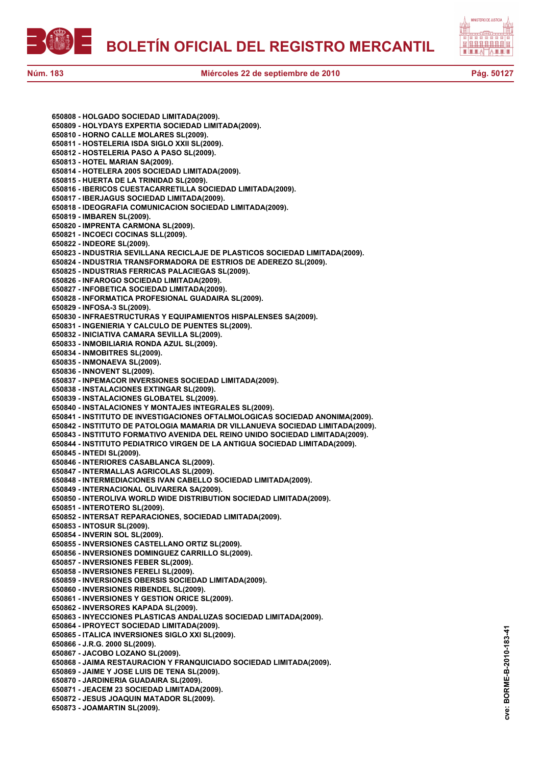



**cve: BORME-B-2010-183-41**

cve:

BORME-B-2010-183-41

**650808 - HOLGADO SOCIEDAD LIMITADA(2009). 650809 - HOLYDAYS EXPERTIA SOCIEDAD LIMITADA(2009). 650810 - HORNO CALLE MOLARES SL(2009). 650811 - HOSTELERIA ISDA SIGLO XXII SL(2009). 650812 - HOSTELERIA PASO A PASO SL(2009). 650813 - HOTEL MARIAN SA(2009). 650814 - HOTELERA 2005 SOCIEDAD LIMITADA(2009). 650815 - HUERTA DE LA TRINIDAD SL(2009). 650816 - IBERICOS CUESTACARRETILLA SOCIEDAD LIMITADA(2009). 650817 - IBERJAGUS SOCIEDAD LIMITADA(2009). 650818 - IDEOGRAFIA COMUNICACION SOCIEDAD LIMITADA(2009). 650819 - IMBAREN SL(2009). 650820 - IMPRENTA CARMONA SL(2009). 650821 - INCOECI COCINAS SLL(2009). 650822 - INDEORE SL(2009). 650823 - INDUSTRIA SEVILLANA RECICLAJE DE PLASTICOS SOCIEDAD LIMITADA(2009). 650824 - INDUSTRIA TRANSFORMADORA DE ESTRIOS DE ADEREZO SL(2009). 650825 - INDUSTRIAS FERRICAS PALACIEGAS SL(2009). 650826 - INFAROGO SOCIEDAD LIMITADA(2009). 650827 - INFOBETICA SOCIEDAD LIMITADA(2009). 650828 - INFORMATICA PROFESIONAL GUADAIRA SL(2009). 650829 - INFOSA-3 SL(2009). 650830 - INFRAESTRUCTURAS Y EQUIPAMIENTOS HISPALENSES SA(2009). 650831 - INGENIERIA Y CALCULO DE PUENTES SL(2009). 650832 - INICIATIVA CAMARA SEVILLA SL(2009). 650833 - INMOBILIARIA RONDA AZUL SL(2009). 650834 - INMOBITRES SL(2009). 650835 - INMONAEVA SL(2009). 650836 - INNOVENT SL(2009). 650837 - INPEMACOR INVERSIONES SOCIEDAD LIMITADA(2009). 650838 - INSTALACIONES EXTINGAR SL(2009). 650839 - INSTALACIONES GLOBATEL SL(2009). 650840 - INSTALACIONES Y MONTAJES INTEGRALES SL(2009). 650841 - INSTITUTO DE INVESTIGACIONES OFTALMOLOGICAS SOCIEDAD ANONIMA(2009). 650842 - INSTITUTO DE PATOLOGIA MAMARIA DR VILLANUEVA SOCIEDAD LIMITADA(2009). 650843 - INSTITUTO FORMATIVO AVENIDA DEL REINO UNIDO SOCIEDAD LIMITADA(2009). 650844 - INSTITUTO PEDIATRICO VIRGEN DE LA ANTIGUA SOCIEDAD LIMITADA(2009). 650845 - INTEDI SL(2009). 650846 - INTERIORES CASABLANCA SL(2009). 650847 - INTERMALLAS AGRICOLAS SL(2009). 650848 - INTERMEDIACIONES IVAN CABELLO SOCIEDAD LIMITADA(2009). 650849 - INTERNACIONAL OLIVARERA SA(2009). 650850 - INTEROLIVA WORLD WIDE DISTRIBUTION SOCIEDAD LIMITADA(2009). 650851 - INTEROTERO SL(2009). 650852 - INTERSAT REPARACIONES, SOCIEDAD LIMITADA(2009). 650853 - INTOSUR SL(2009). 650854 - INVERIN SOL SL(2009). 650855 - INVERSIONES CASTELLANO ORTIZ SL(2009). 650856 - INVERSIONES DOMINGUEZ CARRILLO SL(2009). 650857 - INVERSIONES FEBER SL(2009). 650858 - INVERSIONES FERELI SL(2009). 650859 - INVERSIONES OBERSIS SOCIEDAD LIMITADA(2009). 650860 - INVERSIONES RIBENDEL SL(2009). 650861 - INVERSIONES Y GESTION ORICE SL(2009). 650862 - INVERSORES KAPADA SL(2009). 650863 - INYECCIONES PLASTICAS ANDALUZAS SOCIEDAD LIMITADA(2009). 650864 - IPROYECT SOCIEDAD LIMITADA(2009). 650865 - ITALICA INVERSIONES SIGLO XXI SL(2009). 650866 - J.R.G. 2000 SL(2009). 650867 - JACOBO LOZANO SL(2009). 650868 - JAIMA RESTAURACION Y FRANQUICIADO SOCIEDAD LIMITADA(2009). 650869 - JAIME Y JOSE LUIS DE TENA SL(2009). 650870 - JARDINERIA GUADAIRA SL(2009). 650871 - JEACEM 23 SOCIEDAD LIMITADA(2009). 650872 - JESUS JOAQUIN MATADOR SL(2009). 650873 - JOAMARTIN SL(2009).**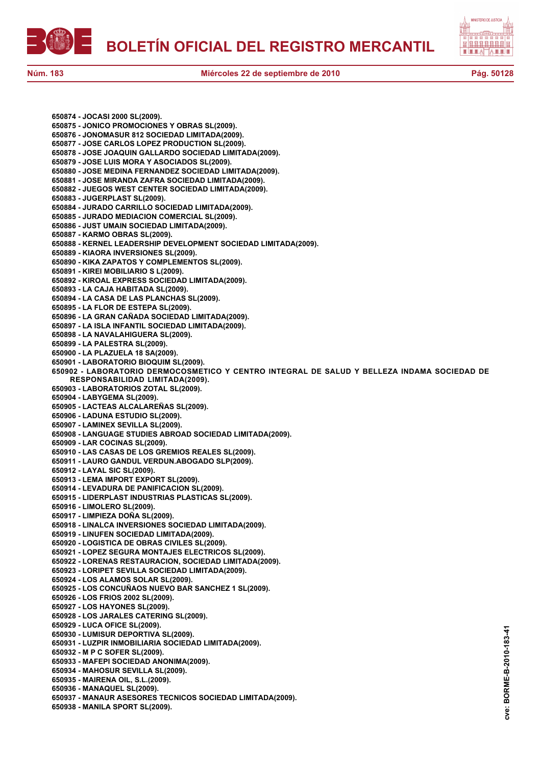



cve:

**650874 - JOCASI 2000 SL(2009). 650875 - JONICO PROMOCIONES Y OBRAS SL(2009). 650876 - JONOMASUR 812 SOCIEDAD LIMITADA(2009). 650877 - JOSE CARLOS LOPEZ PRODUCTION SL(2009). 650878 - JOSE JOAQUIN GALLARDO SOCIEDAD LIMITADA(2009). 650879 - JOSE LUIS MORA Y ASOCIADOS SL(2009). 650880 - JOSE MEDINA FERNANDEZ SOCIEDAD LIMITADA(2009). 650881 - JOSE MIRANDA ZAFRA SOCIEDAD LIMITADA(2009). 650882 - JUEGOS WEST CENTER SOCIEDAD LIMITADA(2009). 650883 - JUGERPLAST SL(2009). 650884 - JURADO CARRILLO SOCIEDAD LIMITADA(2009). 650885 - JURADO MEDIACION COMERCIAL SL(2009). 650886 - JUST UMAIN SOCIEDAD LIMITADA(2009). 650887 - KARMO OBRAS SL(2009). 650888 - KERNEL LEADERSHIP DEVELOPMENT SOCIEDAD LIMITADA(2009). 650889 - KIAORA INVERSIONES SL(2009). 650890 - KIKA ZAPATOS Y COMPLEMENTOS SL(2009). 650891 - KIREI MOBILIARIO S L(2009). 650892 - KIROAL EXPRESS SOCIEDAD LIMITADA(2009). 650893 - LA CAJA HABITADA SL(2009). 650894 - LA CASA DE LAS PLANCHAS SL(2009). 650895 - LA FLOR DE ESTEPA SL(2009). 650896 - LA GRAN CAÑADA SOCIEDAD LIMITADA(2009). 650897 - LA ISLA INFANTIL SOCIEDAD LIMITADA(2009). 650898 - LA NAVALAHIGUERA SL(2009). 650899 - LA PALESTRA SL(2009). 650900 - LA PLAZUELA 18 SA(2009). 650901 - LABORATORIO BIOQUIM SL(2009). 650902 - LABORATORIO DERMOCOSMETICO Y CENTRO INTEGRAL DE SALUD Y BELLEZA INDAMA SOCIEDAD DE RESPONSABILIDAD LIMITADA(2009). 650903 - LABORATORIOS ZOTAL SL(2009). 650904 - LABYGEMA SL(2009). 650905 - LACTEAS ALCALAREÑAS SL(2009). 650906 - LADUNA ESTUDIO SL(2009). 650907 - LAMINEX SEVILLA SL(2009). 650908 - LANGUAGE STUDIES ABROAD SOCIEDAD LIMITADA(2009). 650909 - LAR COCINAS SL(2009). 650910 - LAS CASAS DE LOS GREMIOS REALES SL(2009). 650911 - LAURO GANDUL VERDUN.ABOGADO SLP(2009). 650912 - LAYAL SIC SL(2009). 650913 - LEMA IMPORT EXPORT SL(2009). 650914 - LEVADURA DE PANIFICACION SL(2009). 650915 - LIDERPLAST INDUSTRIAS PLASTICAS SL(2009). 650916 - LIMOLERO SL(2009). 650917 - LIMPIEZA DOÑA SL(2009). 650918 - LINALCA INVERSIONES SOCIEDAD LIMITADA(2009). 650919 - LINUFEN SOCIEDAD LIMITADA(2009). 650920 - LOGISTICA DE OBRAS CIVILES SL(2009). 650921 - LOPEZ SEGURA MONTAJES ELECTRICOS SL(2009). 650922 - LORENAS RESTAURACION, SOCIEDAD LIMITADA(2009). 650923 - LORIPET SEVILLA SOCIEDAD LIMITADA(2009). 650924 - LOS ALAMOS SOLAR SL(2009). 650925 - LOS CONCUÑAOS NUEVO BAR SANCHEZ 1 SL(2009). 650926 - LOS FRIOS 2002 SL(2009). 650927 - LOS HAYONES SL(2009). 650928 - LOS JARALES CATERING SL(2009). 650929 - LUCA OFICE SL(2009).** BORME-B-2010-183-41 **cve: BORME-B-2010-183-41 650930 - LUMISUR DEPORTIVA SL(2009). 650931 - LUZPIR INMOBILIARIA SOCIEDAD LIMITADA(2009). 650932 - M P C SOFER SL(2009). 650933 - MAFEPI SOCIEDAD ANONIMA(2009). 650934 - MAHOSUR SEVILLA SL(2009). 650935 - MAIRENA OIL, S.L.(2009). 650936 - MANAQUEL SL(2009). 650937 - MANAUR ASESORES TECNICOS SOCIEDAD LIMITADA(2009). 650938 - MANILA SPORT SL(2009).**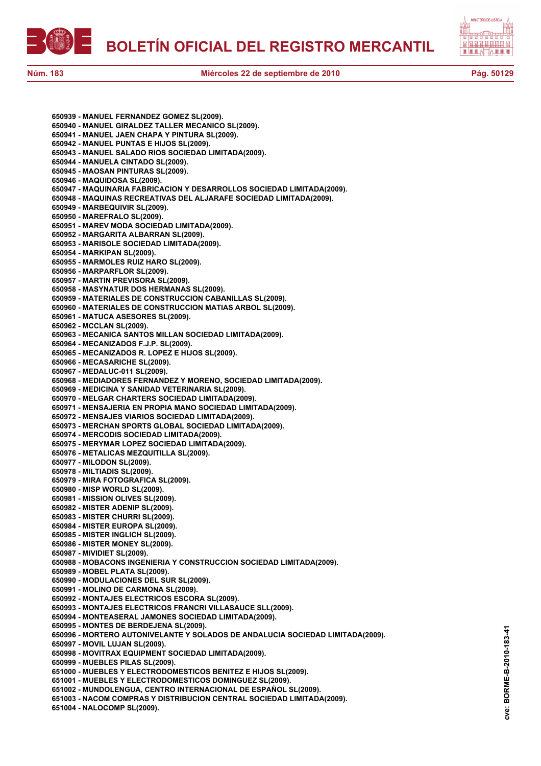



**650939 - MANUEL FERNANDEZ GOMEZ SL(2009). 650940 - MANUEL GIRALDEZ TALLER MECANICO SL(2009). 650941 - MANUEL JAEN CHAPA Y PINTURA SL(2009). 650942 - MANUEL PUNTAS E HIJOS SL(2009). 650943 - MANUEL SALADO RIOS SOCIEDAD LIMITADA(2009). 650944 - MANUELA CINTADO SL(2009). 650945 - MAOSAN PINTURAS SL(2009). 650946 - MAQUIDOSA SL(2009). 650947 - MAQUINARIA FABRICACION Y DESARROLLOS SOCIEDAD LIMITADA(2009). 650948 - MAQUINAS RECREATIVAS DEL ALJARAFE SOCIEDAD LIMITADA(2009). 650949 - MARBEQUIVIR SL(2009). 650950 - MAREFRALO SL(2009). 650951 - MAREV MODA SOCIEDAD LIMITADA(2009). 650952 - MARGARITA ALBARRAN SL(2009). 650953 - MARISOLE SOCIEDAD LIMITADA(2009). 650954 - MARKIPAN SL(2009). 650955 - MARMOLES RUIZ HARO SL(2009). 650956 - MARPARFLOR SL(2009). 650957 - MARTIN PREVISORA SL(2009). 650958 - MASYNATUR DOS HERMANAS SL(2009). 650959 - MATERIALES DE CONSTRUCCION CABANILLAS SL(2009). 650960 - MATERIALES DE CONSTRUCCION MATIAS ARBOL SL(2009). 650961 - MATUCA ASESORES SL(2009). 650962 - MCCLAN SL(2009). 650963 - MECANICA SANTOS MILLAN SOCIEDAD LIMITADA(2009). 650964 - MECANIZADOS F.J.P. SL(2009). 650965 - MECANIZADOS R. LOPEZ E HIJOS SL(2009). 650966 - MECASARICHE SL(2009). 650967 - MEDALUC-011 SL(2009). 650968 - MEDIADORES FERNANDEZ Y MORENO, SOCIEDAD LIMITADA(2009). 650969 - MEDICINA Y SANIDAD VETERINARIA SL(2009). 650970 - MELGAR CHARTERS SOCIEDAD LIMITADA(2009). 650971 - MENSAJERIA EN PROPIA MANO SOCIEDAD LIMITADA(2009). 650972 - MENSAJES VIARIOS SOCIEDAD LIMITADA(2009). 650973 - MERCHAN SPORTS GLOBAL SOCIEDAD LIMITADA(2009). 650974 - MERCODIS SOCIEDAD LIMITADA(2009). 650975 - MERYMAR LOPEZ SOCIEDAD LIMITADA(2009). 650976 - METALICAS MEZQUITILLA SL(2009). 650977 - MILODON SL(2009). 650978 - MILTIADIS SL(2009). 650979 - MIRA FOTOGRAFICA SL(2009). 650980 - MISP WORLD SL(2009). 650981 - MISSION OLIVES SL(2009). 650982 - MISTER ADENIP SL(2009). 650983 - MISTER CHURRI SL(2009). 650984 - MISTER EUROPA SL(2009). 650985 - MISTER INGLICH SL(2009). 650986 - MISTER MONEY SL(2009). 650987 - MIVIDIET SL(2009). 650988 - MOBACONS INGENIERIA Y CONSTRUCCION SOCIEDAD LIMITADA(2009). 650989 - MOBEL PLATA SL(2009). 650990 - MODULACIONES DEL SUR SL(2009). 650991 - MOLINO DE CARMONA SL(2009). 650992 - MONTAJES ELECTRICOS ESCORA SL(2009). 650993 - MONTAJES ELECTRICOS FRANCRI VILLASAUCE SLL(2009). 650994 - MONTEASERAL JAMONES SOCIEDAD LIMITADA(2009). 650995 - MONTES DE BERDEJENA SL(2009). 650996 - MORTERO AUTONIVELANTE Y SOLADOS DE ANDALUCIA SOCIEDAD LIMITADA(2009). 650997 - MOVIL LUJAN SL(2009). 650998 - MOVITRAX EQUIPMENT SOCIEDAD LIMITADA(2009). 650999 - MUEBLES PILAS SL(2009). 651000 - MUEBLES Y ELECTRODOMESTICOS BENITEZ E HIJOS SL(2009). 651001 - MUEBLES Y ELECTRODOMESTICOS DOMINGUEZ SL(2009). 651002 - MUNDOLENGUA, CENTRO INTERNACIONAL DE ESPAÑOL SL(2009). 651003 - NACOM COMPRAS Y DISTRIBUCION CENTRAL SOCIEDAD LIMITADA(2009). 651004 - NALOCOMP SL(2009).**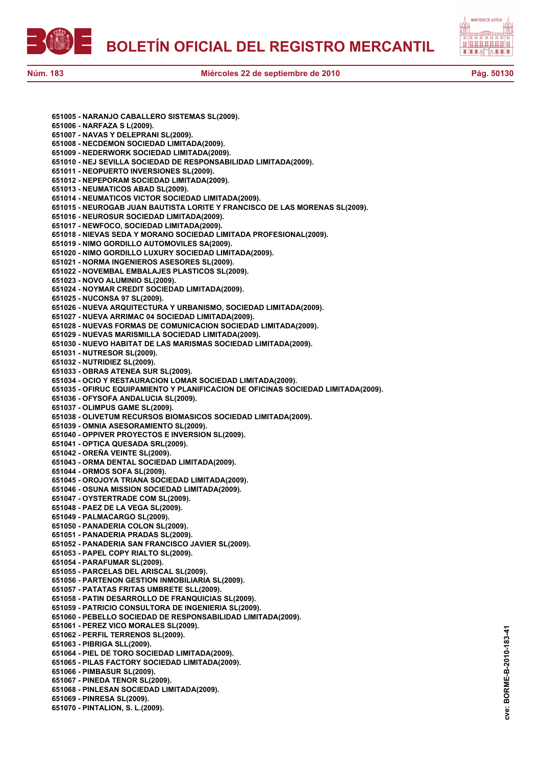



**651005 - NARANJO CABALLERO SISTEMAS SL(2009). 651006 - NARFAZA S L(2009). 651007 - NAVAS Y DELEPRANI SL(2009). 651008 - NECDEMON SOCIEDAD LIMITADA(2009). 651009 - NEDERWORK SOCIEDAD LIMITADA(2009). 651010 - NEJ SEVILLA SOCIEDAD DE RESPONSABILIDAD LIMITADA(2009). 651011 - NEOPUERTO INVERSIONES SL(2009). 651012 - NEPEPORAM SOCIEDAD LIMITADA(2009). 651013 - NEUMATICOS ABAD SL(2009). 651014 - NEUMATICOS VICTOR SOCIEDAD LIMITADA(2009). 651015 - NEUROGAB JUAN BAUTISTA LORITE Y FRANCISCO DE LAS MORENAS SL(2009). 651016 - NEUROSUR SOCIEDAD LIMITADA(2009). 651017 - NEWFOCO, SOCIEDAD LIMITADA(2009). 651018 - NIEVAS SEDA Y MORANO SOCIEDAD LIMITADA PROFESIONAL(2009). 651019 - NIMO GORDILLO AUTOMOVILES SA(2009). 651020 - NIMO GORDILLO LUXURY SOCIEDAD LIMITADA(2009). 651021 - NORMA INGENIEROS ASESORES SL(2009). 651022 - NOVEMBAL EMBALAJES PLASTICOS SL(2009). 651023 - NOVO ALUMINIO SL(2009). 651024 - NOYMAR CREDIT SOCIEDAD LIMITADA(2009). 651025 - NUCONSA 97 SL(2009). 651026 - NUEVA ARQUITECTURA Y URBANISMO, SOCIEDAD LIMITADA(2009). 651027 - NUEVA ARRIMAC 04 SOCIEDAD LIMITADA(2009). 651028 - NUEVAS FORMAS DE COMUNICACION SOCIEDAD LIMITADA(2009). 651029 - NUEVAS MARISMILLA SOCIEDAD LIMITADA(2009). 651030 - NUEVO HABITAT DE LAS MARISMAS SOCIEDAD LIMITADA(2009). 651031 - NUTRESOR SL(2009). 651032 - NUTRIDIEZ SL(2009). 651033 - OBRAS ATENEA SUR SL(2009). 651034 - OCIO Y RESTAURACION LOMAR SOCIEDAD LIMITADA(2009). 651035 - OFIRUC EQUIPAMIENTO Y PLANIFICACION DE OFICINAS SOCIEDAD LIMITADA(2009). 651036 - OFYSOFA ANDALUCIA SL(2009). 651037 - OLIMPUS GAME SL(2009). 651038 - OLIVETUM RECURSOS BIOMASICOS SOCIEDAD LIMITADA(2009). 651039 - OMNIA ASESORAMIENTO SL(2009). 651040 - OPPIVER PROYECTOS E INVERSION SL(2009). 651041 - OPTICA QUESADA SRL(2009). 651042 - OREÑA VEINTE SL(2009). 651043 - ORMA DENTAL SOCIEDAD LIMITADA(2009). 651044 - ORMOS SOFA SL(2009). 651045 - OROJOYA TRIANA SOCIEDAD LIMITADA(2009). 651046 - OSUNA MISSION SOCIEDAD LIMITADA(2009). 651047 - OYSTERTRADE COM SL(2009). 651048 - PAEZ DE LA VEGA SL(2009). 651049 - PALMACARGO SL(2009). 651050 - PANADERIA COLON SL(2009). 651051 - PANADERIA PRADAS SL(2009). 651052 - PANADERIA SAN FRANCISCO JAVIER SL(2009). 651053 - PAPEL COPY RIALTO SL(2009). 651054 - PARAFUMAR SL(2009). 651055 - PARCELAS DEL ARISCAL SL(2009). 651056 - PARTENON GESTION INMOBILIARIA SL(2009). 651057 - PATATAS FRITAS UMBRETE SLL(2009). 651058 - PATIN DESARROLLO DE FRANQUICIAS SL(2009). 651059 - PATRICIO CONSULTORA DE INGENIERIA SL(2009). 651060 - PEBELLO SOCIEDAD DE RESPONSABILIDAD LIMITADA(2009). 651061 - PEREZ VICO MORALES SL(2009). 651062 - PERFIL TERRENOS SL(2009). 651063 - PIBRIGA SLL(2009). 651064 - PIEL DE TORO SOCIEDAD LIMITADA(2009). 651065 - PILAS FACTORY SOCIEDAD LIMITADA(2009). 651066 - PIMBASUR SL(2009). 651067 - PINEDA TENOR SL(2009). 651068 - PINLESAN SOCIEDAD LIMITADA(2009). 651069 - PINRESA SL(2009). 651070 - PINTALION, S. L.(2009).**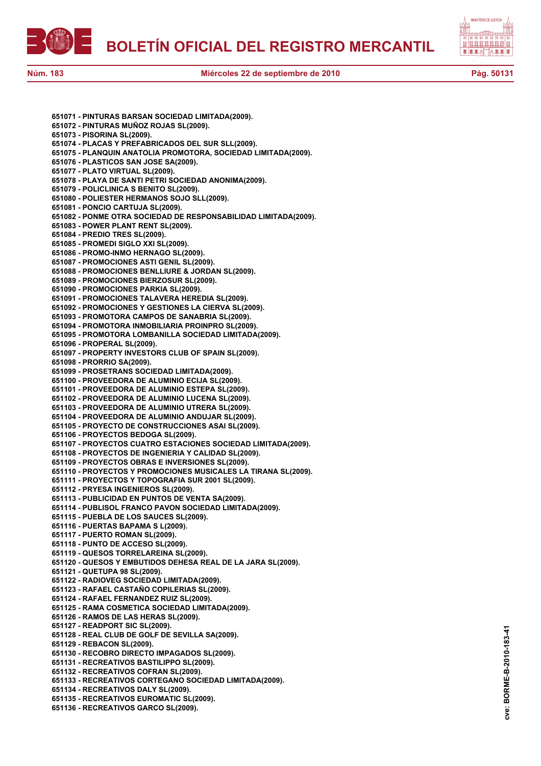



**cve: BORME-B-2010-183-41**

cve: BORME-B-2010-183-41

| 651071 - PINTURAS BARSAN SOCIEDAD LIMITADA(2009).               |
|-----------------------------------------------------------------|
| 651072 - PINTURAS MUÑOZ ROJAS SL(2009).                         |
| 651073 - PISORINA SL(2009).                                     |
| 651074 - PLACAS Y PREFABRICADOS DEL SUR SLL(2009).              |
| 651075 - PLANQUIN ANATOLIA PROMOTORA, SOCIEDAD LIMITADA(2009).  |
|                                                                 |
| 651076 - PLASTICOS SAN JOSE SA(2009).                           |
| 651077 - PLATO VIRTUAL SL(2009).                                |
| 651078 - PLAYA DE SANTI PETRI SOCIEDAD ANONIMA(2009).           |
| 651079 - POLICLINICA S BENITO SL(2009).                         |
| 651080 - POLIESTER HERMANOS SOJO SLL(2009).                     |
| 651081 - PONCIO CARTUJA SL(2009).                               |
|                                                                 |
| 651082 - PONME OTRA SOCIEDAD DE RESPONSABILIDAD LIMITADA(2009). |
| 651083 - POWER PLANT RENT SL(2009).                             |
| 651084 - PREDIO TRES SL(2009).                                  |
| 651085 - PROMEDI SIGLO XXI SL(2009).                            |
| 651086 - PROMO-INMO HERNAGO SL(2009).                           |
| 651087 - PROMOCIONES ASTI GENIL SL(2009).                       |
|                                                                 |
| 651088 - PROMOCIONES BENLLIURE & JORDAN SL(2009).               |
| 651089 - PROMOCIONES BIERZOSUR SL(2009).                        |
| 651090 - PROMOCIONES PARKIA SL(2009).                           |
| 651091 - PROMOCIONES TALAVERA HEREDIA SL(2009).                 |
| 651092 - PROMOCIONES Y GESTIONES LA CIERVA SL(2009).            |
| 651093 - PROMOTORA CAMPOS DE SANABRIA SL(2009).                 |
|                                                                 |
| 651094 - PROMOTORA INMOBILIARIA PROINPRO SL(2009).              |
| 651095 - PROMOTORA LOMBANILLA SOCIEDAD LIMITADA(2009).          |
| 651096 - PROPERAL SL(2009).                                     |
| 651097 - PROPERTY INVESTORS CLUB OF SPAIN SL(2009).             |
| 651098 - PRORRIO SA(2009).                                      |
| 651099 - PROSETRANS SOCIEDAD LIMITADA(2009).                    |
| 651100 - PROVEEDORA DE ALUMINIO ECIJA SL(2009).                 |
|                                                                 |
| 651101 - PROVEEDORA DE ALUMINIO ESTEPA SL(2009).                |
| 651102 - PROVEEDORA DE ALUMINIO LUCENA SL(2009).                |
| 651103 - PROVEEDORA DE ALUMINIO UTRERA SL(2009).                |
| 651104 - PROVEEDORA DE ALUMINIO ANDUJAR SL(2009).               |
| 651105 - PROYECTO DE CONSTRUCCIONES ASAI SL(2009).              |
| 651106 - PROYECTOS BEDOGA SL(2009).                             |
|                                                                 |
| 651107 - PROYECTOS CUATRO ESTACIONES SOCIEDAD LIMITADA(2009).   |
| 651108 - PROYECTOS DE INGENIERIA Y CALIDAD SL(2009).            |
| 651109 - PROYECTOS OBRAS E INVERSIONES SL(2009).                |
| 651110 - PROYECTOS Y PROMOCIONES MUSICALES LA TIRANA SL(2009).  |
| 651111 - PROYECTOS Y TOPOGRAFIA SUR 2001 SL(2009).              |
| 651112 - PRYESA INGENIEROS SL(2009).                            |
|                                                                 |
| 651113 - PUBLICIDAD EN PUNTOS DE VENTA SA(2009).                |
| 651114 - PUBLISOL FRANCO PAVON SOCIEDAD LIMITADA(2009).         |
| 651115 - PUEBLA DE LOS SAUCES SL(2009).                         |
| 651116 - PUERTAS BAPAMA S L(2009).                              |
| 651117 - PUERTO ROMAN SL(2009).                                 |
| 651118 - PUNTO DE ACCESO SL(2009).                              |
|                                                                 |
| 651119 - QUESOS TORRELAREINA SL(2009).                          |
| 651120 - QUESOS Y EMBUTIDOS DEHESA REAL DE LA JARA SL(2009).    |
| 651121 - QUETUPA 98 SL(2009).                                   |
| 651122 - RADIOVEG SOCIEDAD LIMITADA(2009).                      |
| 651123 - RAFAEL CASTAÑO COPILERIAS SL(2009).                    |
| 651124 - RAFAEL FERNANDEZ RUIZ SL(2009).                        |
|                                                                 |
| 651125 - RAMA COSMETICA SOCIEDAD LIMITADA(2009).                |
| 651126 - RAMOS DE LAS HERAS SL(2009).                           |
| 651127 - READPORT SIC SL(2009).                                 |
| 651128 - REAL CLUB DE GOLF DE SEVILLA SA(2009).                 |
| 651129 - REBACON SL(2009).                                      |
| 651130 - RECOBRO DIRECTO IMPAGADOS SL(2009).                    |
| 651131 - RECREATIVOS BASTILIPPO SL(2009).                       |
|                                                                 |
| 651132 - RECREATIVOS COFRAN SL(2009).                           |
| 651133 - RECREATIVOS CORTEGANO SOCIEDAD LIMITADA(2009).         |
| 651134 - RECREATIVOS DALY SL(2009).                             |
| 651135 - RECREATIVOS EUROMATIC SL(2009).                        |
| 651136 - RECREATIVOS GARCO SL(2009).                            |
|                                                                 |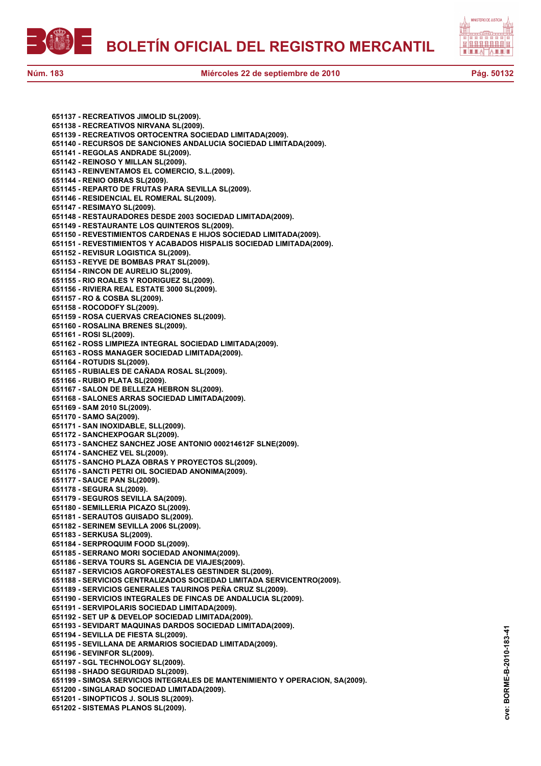



**651137 - RECREATIVOS JIMOLID SL(2009). 651138 - RECREATIVOS NIRVANA SL(2009). 651139 - RECREATIVOS ORTOCENTRA SOCIEDAD LIMITADA(2009). 651140 - RECURSOS DE SANCIONES ANDALUCIA SOCIEDAD LIMITADA(2009). 651141 - REGOLAS ANDRADE SL(2009). 651142 - REINOSO Y MILLAN SL(2009). 651143 - REINVENTAMOS EL COMERCIO, S.L.(2009). 651144 - RENIO OBRAS SL(2009). 651145 - REPARTO DE FRUTAS PARA SEVILLA SL(2009). 651146 - RESIDENCIAL EL ROMERAL SL(2009). 651147 - RESIMAYO SL(2009). 651148 - RESTAURADORES DESDE 2003 SOCIEDAD LIMITADA(2009). 651149 - RESTAURANTE LOS QUINTEROS SL(2009). 651150 - REVESTIMIENTOS CARDENAS E HIJOS SOCIEDAD LIMITADA(2009). 651151 - REVESTIMIENTOS Y ACABADOS HISPALIS SOCIEDAD LIMITADA(2009). 651152 - REVISUR LOGISTICA SL(2009). 651153 - REYVE DE BOMBAS PRAT SL(2009). 651154 - RINCON DE AURELIO SL(2009). 651155 - RIO ROALES Y RODRIGUEZ SL(2009). 651156 - RIVIERA REAL ESTATE 3000 SL(2009). 651157 - RO & COSBA SL(2009). 651158 - ROCODOFY SL(2009). 651159 - ROSA CUERVAS CREACIONES SL(2009). 651160 - ROSALINA BRENES SL(2009). 651161 - ROSI SL(2009). 651162 - ROSS LIMPIEZA INTEGRAL SOCIEDAD LIMITADA(2009). 651163 - ROSS MANAGER SOCIEDAD LIMITADA(2009). 651164 - ROTUDIS SL(2009). 651165 - RUBIALES DE CAÑADA ROSAL SL(2009). 651166 - RUBIO PLATA SL(2009). 651167 - SALON DE BELLEZA HEBRON SL(2009). 651168 - SALONES ARRAS SOCIEDAD LIMITADA(2009). 651169 - SAM 2010 SL(2009). 651170 - SAMO SA(2009). 651171 - SAN INOXIDABLE, SLL(2009). 651172 - SANCHEXPOGAR SL(2009). 651173 - SANCHEZ SANCHEZ JOSE ANTONIO 000214612F SLNE(2009). 651174 - SANCHEZ VEL SL(2009). 651175 - SANCHO PLAZA OBRAS Y PROYECTOS SL(2009). 651176 - SANCTI PETRI OIL SOCIEDAD ANONIMA(2009). 651177 - SAUCE PAN SL(2009). 651178 - SEGURA SL(2009). 651179 - SEGUROS SEVILLA SA(2009). 651180 - SEMILLERIA PICAZO SL(2009). 651181 - SERAUTOS GUISADO SL(2009). 651182 - SERINEM SEVILLA 2006 SL(2009). 651183 - SERKUSA SL(2009). 651184 - SERPROQUIM FOOD SL(2009). 651185 - SERRANO MORI SOCIEDAD ANONIMA(2009). 651186 - SERVA TOURS SL AGENCIA DE VIAJES(2009). 651187 - SERVICIOS AGROFORESTALES GESTINDER SL(2009). 651188 - SERVICIOS CENTRALIZADOS SOCIEDAD LIMITADA SERVICENTRO(2009). 651189 - SERVICIOS GENERALES TAURINOS PEÑA CRUZ SL(2009). 651190 - SERVICIOS INTEGRALES DE FINCAS DE ANDALUCIA SL(2009). 651191 - SERVIPOLARIS SOCIEDAD LIMITADA(2009). 651192 - SET UP & DEVELOP SOCIEDAD LIMITADA(2009). 651193 - SEVIDART MAQUINAS DARDOS SOCIEDAD LIMITADA(2009). 651194 - SEVILLA DE FIESTA SL(2009). 651195 - SEVILLANA DE ARMARIOS SOCIEDAD LIMITADA(2009). 651196 - SEVINFOR SL(2009). 651197 - SGL TECHNOLOGY SL(2009). 651198 - SHADO SEGURIDAD SL(2009). 651199 - SIMOSA SERVICIOS INTEGRALES DE MANTENIMIENTO Y OPERACION, SA(2009). 651200 - SINGLARAD SOCIEDAD LIMITADA(2009). 651201 - SINOPTICOS J. SOLIS SL(2009). 651202 - SISTEMAS PLANOS SL(2009).**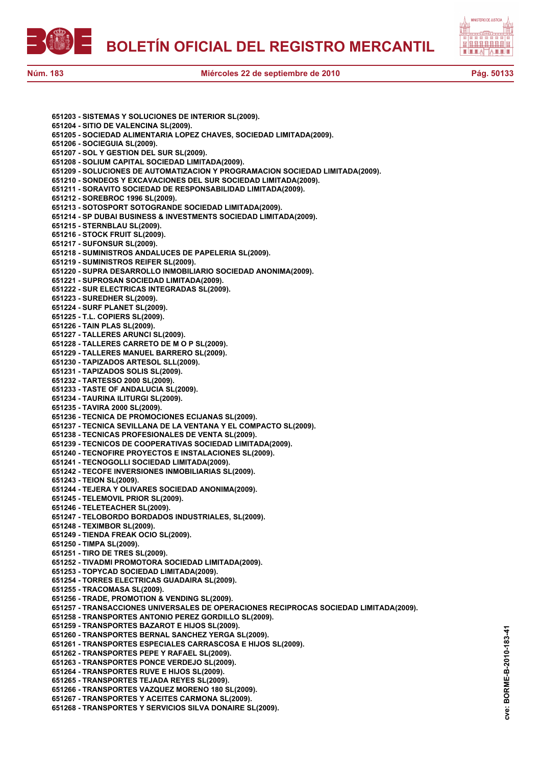



**651203 - SISTEMAS Y SOLUCIONES DE INTERIOR SL(2009). 651204 - SITIO DE VALENCINA SL(2009). 651205 - SOCIEDAD ALIMENTARIA LOPEZ CHAVES, SOCIEDAD LIMITADA(2009). 651206 - SOCIEGUIA SL(2009). 651207 - SOL Y GESTION DEL SUR SL(2009). 651208 - SOLIUM CAPITAL SOCIEDAD LIMITADA(2009). 651209 - SOLUCIONES DE AUTOMATIZACION Y PROGRAMACION SOCIEDAD LIMITADA(2009). 651210 - SONDEOS Y EXCAVACIONES DEL SUR SOCIEDAD LIMITADA(2009). 651211 - SORAVITO SOCIEDAD DE RESPONSABILIDAD LIMITADA(2009). 651212 - SOREBROC 1996 SL(2009). 651213 - SOTOSPORT SOTOGRANDE SOCIEDAD LIMITADA(2009). 651214 - SP DUBAI BUSINESS & INVESTMENTS SOCIEDAD LIMITADA(2009). 651215 - STERNBLAU SL(2009). 651216 - STOCK FRUIT SL(2009). 651217 - SUFONSUR SL(2009). 651218 - SUMINISTROS ANDALUCES DE PAPELERIA SL(2009). 651219 - SUMINISTROS REIFER SL(2009). 651220 - SUPRA DESARROLLO INMOBILIARIO SOCIEDAD ANONIMA(2009). 651221 - SUPROSAN SOCIEDAD LIMITADA(2009). 651222 - SUR ELECTRICAS INTEGRADAS SL(2009). 651223 - SUREDHER SL(2009). 651224 - SURF PLANET SL(2009). 651225 - T.L. COPIERS SL(2009). 651226 - TAIN PLAS SL(2009). 651227 - TALLERES ARUNCI SL(2009). 651228 - TALLERES CARRETO DE M O P SL(2009). 651229 - TALLERES MANUEL BARRERO SL(2009). 651230 - TAPIZADOS ARTESOL SLL(2009). 651231 - TAPIZADOS SOLIS SL(2009). 651232 - TARTESSO 2000 SL(2009). 651233 - TASTE OF ANDALUCIA SL(2009). 651234 - TAURINA ILITURGI SL(2009). 651235 - TAVIRA 2000 SL(2009). 651236 - TECNICA DE PROMOCIONES ECIJANAS SL(2009). 651237 - TECNICA SEVILLANA DE LA VENTANA Y EL COMPACTO SL(2009). 651238 - TECNICAS PROFESIONALES DE VENTA SL(2009). 651239 - TECNICOS DE COOPERATIVAS SOCIEDAD LIMITADA(2009). 651240 - TECNOFIRE PROYECTOS E INSTALACIONES SL(2009). 651241 - TECNOGOLLI SOCIEDAD LIMITADA(2009). 651242 - TECOFE INVERSIONES INMOBILIARIAS SL(2009). 651243 - TEION SL(2009). 651244 - TEJERA Y OLIVARES SOCIEDAD ANONIMA(2009). 651245 - TELEMOVIL PRIOR SL(2009). 651246 - TELETEACHER SL(2009). 651247 - TELOBORDO BORDADOS INDUSTRIALES, SL(2009). 651248 - TEXIMBOR SL(2009). 651249 - TIENDA FREAK OCIO SL(2009). 651250 - TIMPA SL(2009). 651251 - TIRO DE TRES SL(2009). 651252 - TIVADMI PROMOTORA SOCIEDAD LIMITADA(2009). 651253 - TOPYCAD SOCIEDAD LIMITADA(2009). 651254 - TORRES ELECTRICAS GUADAIRA SL(2009). 651255 - TRACOMASA SL(2009). 651256 - TRADE, PROMOTION & VENDING SL(2009). 651257 - TRANSACCIONES UNIVERSALES DE OPERACIONES RECIPROCAS SOCIEDAD LIMITADA(2009). 651258 - TRANSPORTES ANTONIO PEREZ GORDILLO SL(2009). 651259 - TRANSPORTES BAZAROT E HIJOS SL(2009). 651260 - TRANSPORTES BERNAL SANCHEZ YERGA SL(2009). 651261 - TRANSPORTES ESPECIALES CARRASCOSA E HIJOS SL(2009). 651262 - TRANSPORTES PEPE Y RAFAEL SL(2009). 651263 - TRANSPORTES PONCE VERDEJO SL(2009). 651264 - TRANSPORTES RUVE E HIJOS SL(2009). 651265 - TRANSPORTES TEJADA REYES SL(2009). 651266 - TRANSPORTES VAZQUEZ MORENO 180 SL(2009). 651267 - TRANSPORTES Y ACEITES CARMONA SL(2009). 651268 - TRANSPORTES Y SERVICIOS SILVA DONAIRE SL(2009).**